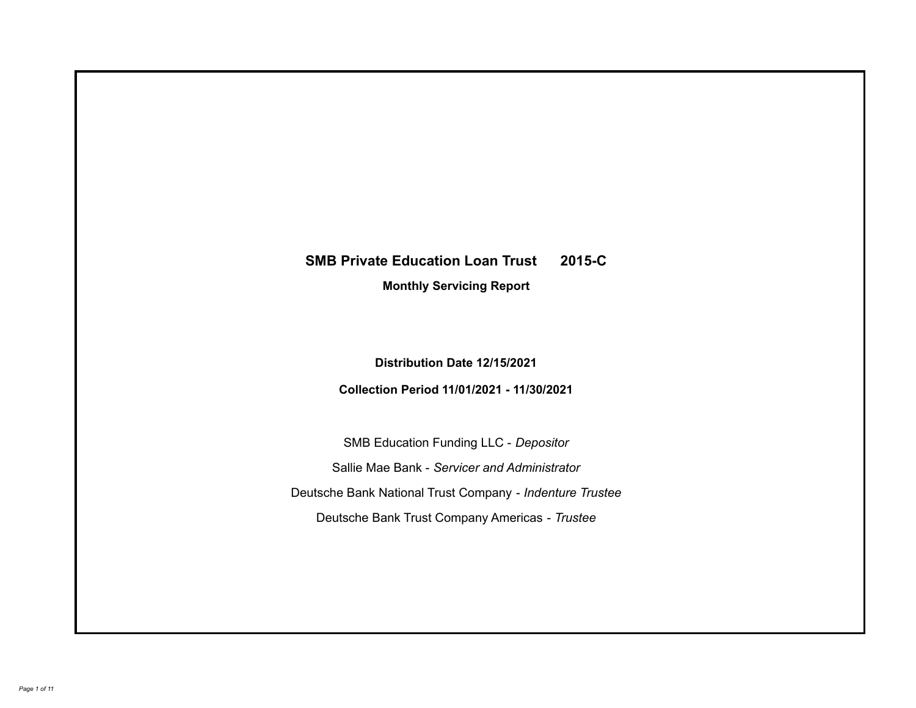# **SMB Private Education Loan Trust 2015-C**

**Monthly Servicing Report**

**Distribution Date 12/15/2021**

**Collection Period 11/01/2021 - 11/30/2021**

SMB Education Funding LLC - *Depositor* Sallie Mae Bank - *Servicer and Administrator* Deutsche Bank National Trust Company - *Indenture Trustee* Deutsche Bank Trust Company Americas - *Trustee*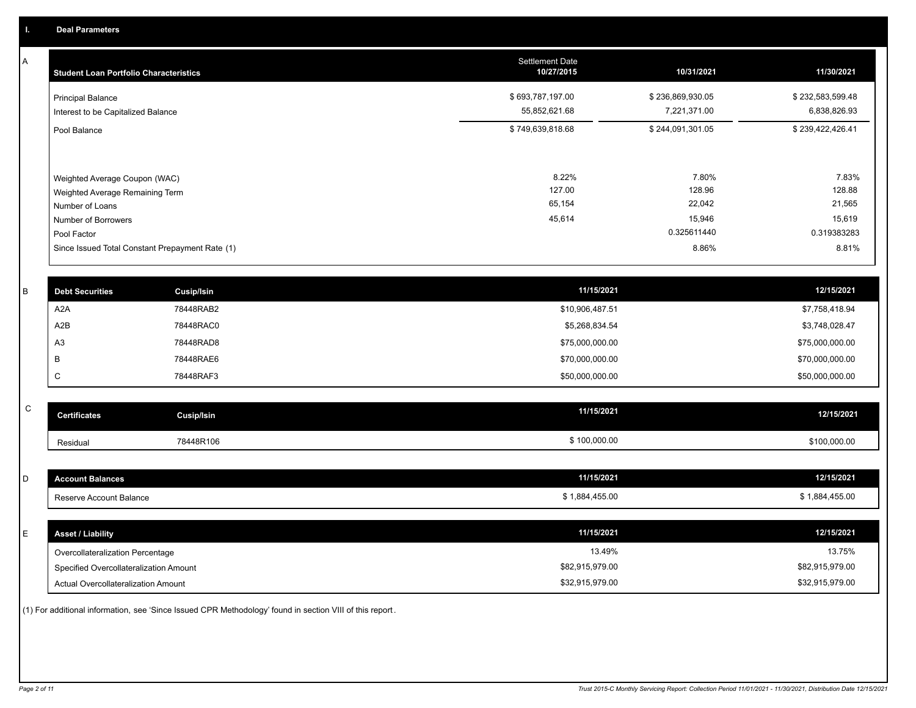A

| <b>Student Loan Portfolio Characteristics</b>                                                              | <b>Settlement Date</b><br>10/27/2015 | 10/31/2021                          | 11/30/2021                          |
|------------------------------------------------------------------------------------------------------------|--------------------------------------|-------------------------------------|-------------------------------------|
| <b>Principal Balance</b><br>Interest to be Capitalized Balance                                             | \$693,787,197.00<br>55,852,621.68    | \$236,869,930.05<br>7,221,371.00    | \$232,583,599.48<br>6,838,826.93    |
| Pool Balance                                                                                               | \$749,639,818.68                     | \$244,091,301.05                    | \$239,422,426.41                    |
| Weighted Average Coupon (WAC)<br>Weighted Average Remaining Term<br>Number of Loans<br>Number of Borrowers | 8.22%<br>127.00<br>65,154<br>45,614  | 7.80%<br>128.96<br>22,042<br>15,946 | 7.83%<br>128.88<br>21,565<br>15,619 |
| Pool Factor                                                                                                |                                      | 0.325611440                         | 0.319383283                         |
| Since Issued Total Constant Prepayment Rate (1)                                                            |                                      | 8.86%                               | 8.81%                               |

| <b>Debt Securities</b> | <b>Cusip/Isin</b> | 11/15/2021      | 12/15/2021      |
|------------------------|-------------------|-----------------|-----------------|
| A2A                    | 78448RAB2         | \$10,906,487.51 | \$7,758,418.94  |
| A2B                    | 78448RAC0         | \$5,268,834.54  | \$3,748,028.47  |
| A <sub>3</sub>         | 78448RAD8         | \$75,000,000.00 | \$75,000,000.00 |
|                        | 78448RAE6         | \$70,000,000.00 | \$70,000,000.00 |
|                        | 78448RAF3         | \$50,000,000.00 | \$50,000,000.00 |
|                        |                   |                 |                 |

| $\sim$<br>◡ | <b>Certificates</b> | <b>Cusip/Isin</b> | 11/15/2021   | 12/15/2021   |
|-------------|---------------------|-------------------|--------------|--------------|
|             | Residual            | 78448R106         | \$100,000.00 | \$100,000.00 |

| <b>Account Balances</b>                | 11/15/2021      | 12/15/2021      |
|----------------------------------------|-----------------|-----------------|
| Reserve Account Balance                | \$1,884,455.00  | \$1,884,455.00  |
|                                        |                 |                 |
| <b>Asset / Liability</b>               | 11/15/2021      | 12/15/2021      |
| Overcollateralization Percentage       | 13.49%          | 13.75%          |
| Specified Overcollateralization Amount | \$82,915,979.00 | \$82,915,979.00 |
| Actual Overcollateralization Amount    | \$32,915,979.00 | \$32,915,979.00 |

(1) For additional information, see 'Since Issued CPR Methodology' found in section VIII of this report .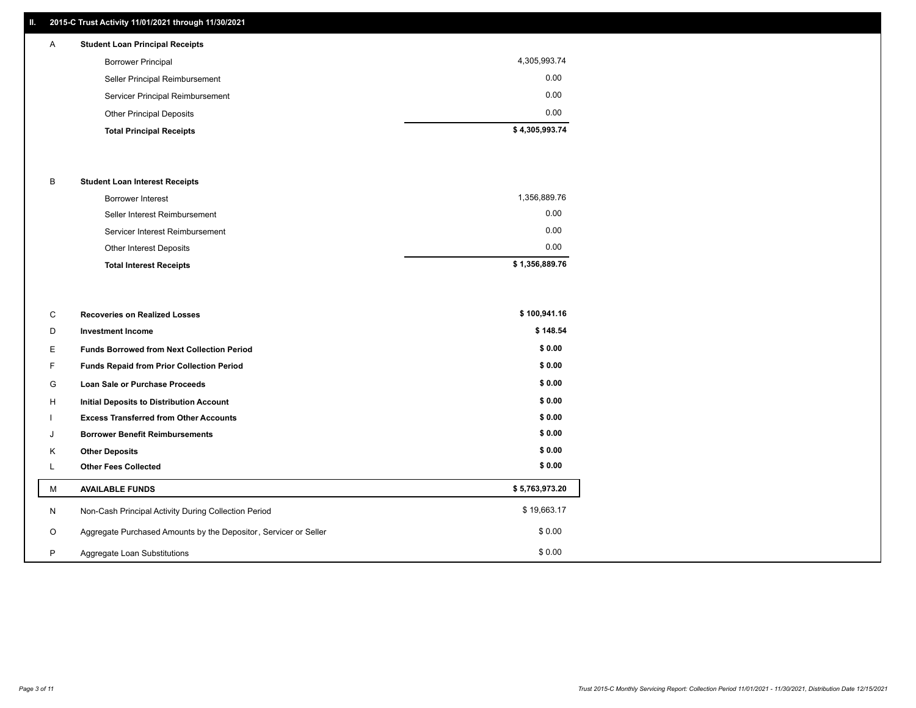## **II. 2015-C Trust Activity 11/01/2021 through 11/30/2021**

# A **Student Loan Principal Receipts**

| <b>Total Principal Receipts</b>  | \$4,305,993.74 |
|----------------------------------|----------------|
| <b>Other Principal Deposits</b>  | 0.00           |
| Servicer Principal Reimbursement | 0.00           |
| Seller Principal Reimbursement   | 0.00           |
| <b>Borrower Principal</b>        | 4,305,993.74   |
|                                  |                |

### B **Student Loan Interest Receipts**

| Borrower Interest               | 1,356,889.76   |
|---------------------------------|----------------|
| Seller Interest Reimbursement   | 0.00           |
| Servicer Interest Reimbursement | 0.00           |
| Other Interest Deposits         | 0.00           |
| <b>Total Interest Receipts</b>  | \$1,356,889.76 |

| C       | <b>Recoveries on Realized Losses</b>                             | \$100,941.16   |
|---------|------------------------------------------------------------------|----------------|
| D       | <b>Investment Income</b>                                         | \$148.54       |
| Е.      | <b>Funds Borrowed from Next Collection Period</b>                | \$0.00         |
| F.      | Funds Repaid from Prior Collection Period                        | \$0.00         |
| G       | Loan Sale or Purchase Proceeds                                   | \$0.00         |
| H       | Initial Deposits to Distribution Account                         | \$0.00         |
|         | <b>Excess Transferred from Other Accounts</b>                    | \$0.00         |
| J       | <b>Borrower Benefit Reimbursements</b>                           | \$0.00         |
| K       | <b>Other Deposits</b>                                            | \$0.00         |
| L.      | <b>Other Fees Collected</b>                                      | \$0.00         |
| М       | <b>AVAILABLE FUNDS</b>                                           | \$5,763,973.20 |
| N       | Non-Cash Principal Activity During Collection Period             | \$19,663.17    |
| $\circ$ | Aggregate Purchased Amounts by the Depositor, Servicer or Seller | \$0.00         |
| P       | Aggregate Loan Substitutions                                     | \$0.00         |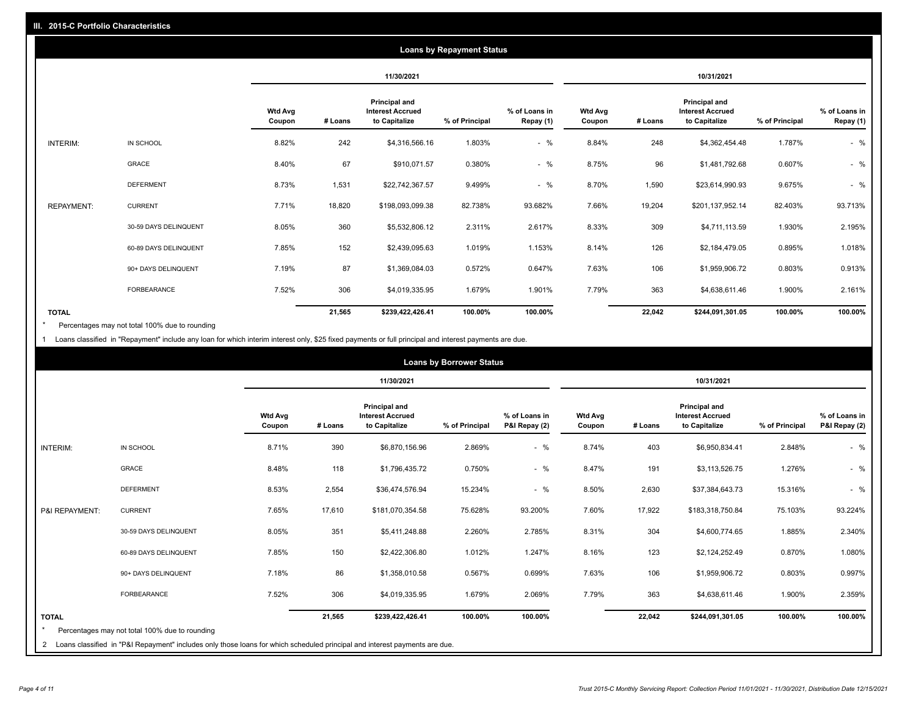|                   | <b>Loans by Repayment Status</b> |                          |            |                                                           |                |                            |                          |         |                                                           |                |                            |
|-------------------|----------------------------------|--------------------------|------------|-----------------------------------------------------------|----------------|----------------------------|--------------------------|---------|-----------------------------------------------------------|----------------|----------------------------|
|                   |                                  |                          | 11/30/2021 |                                                           |                |                            |                          |         | 10/31/2021                                                |                |                            |
|                   |                                  | <b>Wtd Avg</b><br>Coupon | # Loans    | Principal and<br><b>Interest Accrued</b><br>to Capitalize | % of Principal | % of Loans in<br>Repay (1) | <b>Wtd Avg</b><br>Coupon | # Loans | Principal and<br><b>Interest Accrued</b><br>to Capitalize | % of Principal | % of Loans in<br>Repay (1) |
| INTERIM:          | IN SCHOOL                        | 8.82%                    | 242        | \$4,316,566.16                                            | 1.803%         | $-$ %                      | 8.84%                    | 248     | \$4,362,454.48                                            | 1.787%         | $-$ %                      |
|                   | GRACE                            | 8.40%                    | 67         | \$910,071.57                                              | 0.380%         | $-$ %                      | 8.75%                    | 96      | \$1,481,792.68                                            | 0.607%         | $-$ %                      |
|                   | <b>DEFERMENT</b>                 | 8.73%                    | 1,531      | \$22,742,367.57                                           | 9.499%         | $-$ %                      | 8.70%                    | 1,590   | \$23,614,990.93                                           | 9.675%         | $-$ %                      |
| <b>REPAYMENT:</b> | <b>CURRENT</b>                   | 7.71%                    | 18,820     | \$198,093,099.38                                          | 82.738%        | 93.682%                    | 7.66%                    | 19,204  | \$201,137,952.14                                          | 82.403%        | 93.713%                    |
|                   | 30-59 DAYS DELINQUENT            | 8.05%                    | 360        | \$5,532,806.12                                            | 2.311%         | 2.617%                     | 8.33%                    | 309     | \$4,711,113.59                                            | 1.930%         | 2.195%                     |
|                   | 60-89 DAYS DELINQUENT            | 7.85%                    | 152        | \$2,439,095.63                                            | 1.019%         | 1.153%                     | 8.14%                    | 126     | \$2,184,479.05                                            | 0.895%         | 1.018%                     |
|                   | 90+ DAYS DELINQUENT              | 7.19%                    | 87         | \$1,369,084.03                                            | 0.572%         | 0.647%                     | 7.63%                    | 106     | \$1,959,906.72                                            | 0.803%         | 0.913%                     |
|                   | FORBEARANCE                      | 7.52%                    | 306        | \$4,019,335.95                                            | 1.679%         | 1.901%                     | 7.79%                    | 363     | \$4,638,611.46                                            | 1.900%         | 2.161%                     |
| <b>TOTAL</b>      |                                  |                          | 21,565     | \$239,422,426.41                                          | 100.00%        | 100.00%                    |                          | 22,042  | \$244,091,301.05                                          | 100.00%        | 100.00%                    |

Percentages may not total 100% due to rounding \*

1 Loans classified in "Repayment" include any loan for which interim interest only, \$25 fixed payments or full principal and interest payments are due.

|                         | <b>Loans by Borrower Status</b>                                                                                                                                                |                          |            |                                                                  |                |                                |                          |         |                                                                  |                |                                |
|-------------------------|--------------------------------------------------------------------------------------------------------------------------------------------------------------------------------|--------------------------|------------|------------------------------------------------------------------|----------------|--------------------------------|--------------------------|---------|------------------------------------------------------------------|----------------|--------------------------------|
|                         |                                                                                                                                                                                |                          | 11/30/2021 |                                                                  |                |                                | 10/31/2021               |         |                                                                  |                |                                |
|                         |                                                                                                                                                                                | <b>Wtd Avg</b><br>Coupon | # Loans    | <b>Principal and</b><br><b>Interest Accrued</b><br>to Capitalize | % of Principal | % of Loans in<br>P&I Repay (2) | <b>Wtd Avg</b><br>Coupon | # Loans | <b>Principal and</b><br><b>Interest Accrued</b><br>to Capitalize | % of Principal | % of Loans in<br>P&I Repay (2) |
| <b>INTERIM:</b>         | IN SCHOOL                                                                                                                                                                      | 8.71%                    | 390        | \$6,870,156.96                                                   | 2.869%         | $-$ %                          | 8.74%                    | 403     | \$6,950,834.41                                                   | 2.848%         | $-$ %                          |
|                         | <b>GRACE</b>                                                                                                                                                                   | 8.48%                    | 118        | \$1,796,435.72                                                   | 0.750%         | $-$ %                          | 8.47%                    | 191     | \$3,113,526.75                                                   | 1.276%         | $-$ %                          |
|                         | <b>DEFERMENT</b>                                                                                                                                                               | 8.53%                    | 2,554      | \$36,474,576.94                                                  | 15.234%        | $-$ %                          | 8.50%                    | 2,630   | \$37,384,643.73                                                  | 15.316%        | $-$ %                          |
| P&I REPAYMENT:          | <b>CURRENT</b>                                                                                                                                                                 | 7.65%                    | 17,610     | \$181,070,354.58                                                 | 75.628%        | 93.200%                        | 7.60%                    | 17,922  | \$183,318,750.84                                                 | 75.103%        | 93.224%                        |
|                         | 30-59 DAYS DELINQUENT                                                                                                                                                          | 8.05%                    | 351        | \$5,411,248.88                                                   | 2.260%         | 2.785%                         | 8.31%                    | 304     | \$4,600,774.65                                                   | 1.885%         | 2.340%                         |
|                         | 60-89 DAYS DELINQUENT                                                                                                                                                          | 7.85%                    | 150        | \$2,422,306.80                                                   | 1.012%         | 1.247%                         | 8.16%                    | 123     | \$2,124,252.49                                                   | 0.870%         | 1.080%                         |
|                         | 90+ DAYS DELINQUENT                                                                                                                                                            | 7.18%                    | 86         | \$1,358,010.58                                                   | 0.567%         | 0.699%                         | 7.63%                    | 106     | \$1,959,906.72                                                   | 0.803%         | 0.997%                         |
|                         | <b>FORBEARANCE</b>                                                                                                                                                             | 7.52%                    | 306        | \$4,019,335.95                                                   | 1.679%         | 2.069%                         | 7.79%                    | 363     | \$4,638,611.46                                                   | 1.900%         | 2.359%                         |
| <b>TOTAL</b><br>$\star$ | Percentages may not total 100% due to rounding<br>2 Loans classified in "P&I Repayment" includes only those loans for which scheduled principal and interest payments are due. |                          | 21,565     | \$239,422,426.41                                                 | 100.00%        | 100.00%                        |                          | 22,042  | \$244,091,301.05                                                 | 100.00%        | 100.00%                        |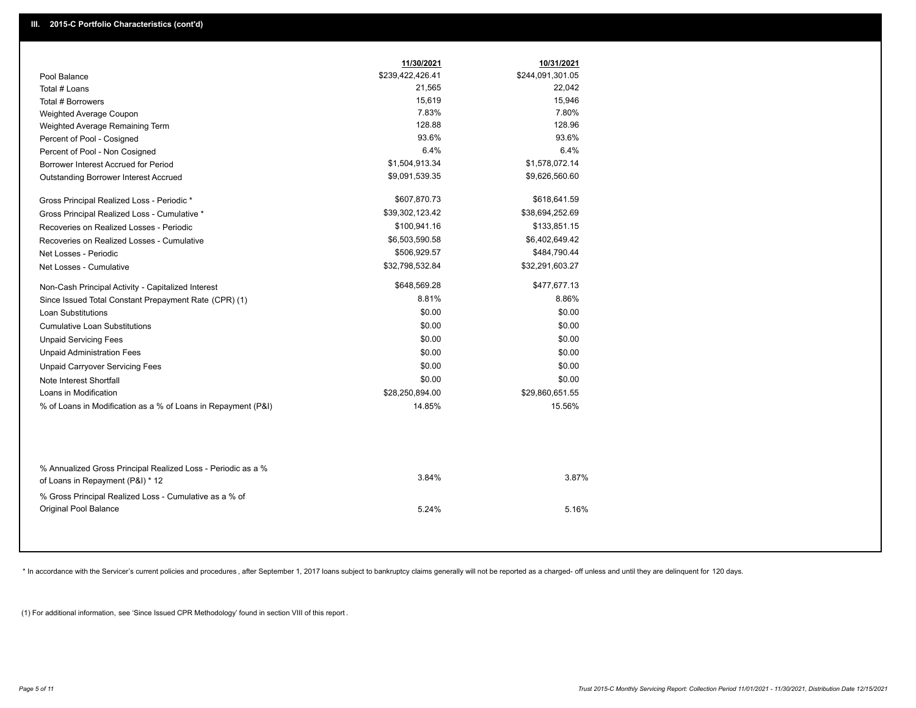|                                                                                                  | 11/30/2021       | 10/31/2021       |
|--------------------------------------------------------------------------------------------------|------------------|------------------|
| Pool Balance                                                                                     | \$239,422,426.41 | \$244,091,301.05 |
| Total # Loans                                                                                    | 21,565           | 22,042           |
| Total # Borrowers                                                                                | 15,619           | 15,946           |
| Weighted Average Coupon                                                                          | 7.83%            | 7.80%            |
| Weighted Average Remaining Term                                                                  | 128.88           | 128.96           |
| Percent of Pool - Cosigned                                                                       | 93.6%            | 93.6%            |
| Percent of Pool - Non Cosigned                                                                   | 6.4%             | 6.4%             |
| Borrower Interest Accrued for Period                                                             | \$1,504,913.34   | \$1,578,072.14   |
| Outstanding Borrower Interest Accrued                                                            | \$9,091,539.35   | \$9,626,560.60   |
| Gross Principal Realized Loss - Periodic *                                                       | \$607,870.73     | \$618,641.59     |
| Gross Principal Realized Loss - Cumulative *                                                     | \$39,302,123.42  | \$38,694,252.69  |
| Recoveries on Realized Losses - Periodic                                                         | \$100,941.16     | \$133,851.15     |
| Recoveries on Realized Losses - Cumulative                                                       | \$6,503,590.58   | \$6,402,649.42   |
| Net Losses - Periodic                                                                            | \$506,929.57     | \$484,790.44     |
| Net Losses - Cumulative                                                                          | \$32,798,532.84  | \$32,291,603.27  |
| Non-Cash Principal Activity - Capitalized Interest                                               | \$648,569.28     | \$477,677.13     |
| Since Issued Total Constant Prepayment Rate (CPR) (1)                                            | 8.81%            | 8.86%            |
| <b>Loan Substitutions</b>                                                                        | \$0.00           | \$0.00           |
| <b>Cumulative Loan Substitutions</b>                                                             | \$0.00           | \$0.00           |
| <b>Unpaid Servicing Fees</b>                                                                     | \$0.00           | \$0.00           |
| <b>Unpaid Administration Fees</b>                                                                | \$0.00           | \$0.00           |
| <b>Unpaid Carryover Servicing Fees</b>                                                           | \$0.00           | \$0.00           |
| Note Interest Shortfall                                                                          | \$0.00           | \$0.00           |
| Loans in Modification                                                                            | \$28,250,894.00  | \$29,860,651.55  |
| % of Loans in Modification as a % of Loans in Repayment (P&I)                                    | 14.85%           | 15.56%           |
|                                                                                                  |                  |                  |
| % Annualized Gross Principal Realized Loss - Periodic as a %<br>of Loans in Repayment (P&I) * 12 | 3.84%            | 3.87%            |
| % Gross Principal Realized Loss - Cumulative as a % of                                           |                  |                  |

\* In accordance with the Servicer's current policies and procedures, after September 1, 2017 loans subject to bankruptcy claims generally will not be reported as a charged- off unless and until they are delinquent for 120

5.24% 5.16%

(1) For additional information, see 'Since Issued CPR Methodology' found in section VIII of this report .

Original Pool Balance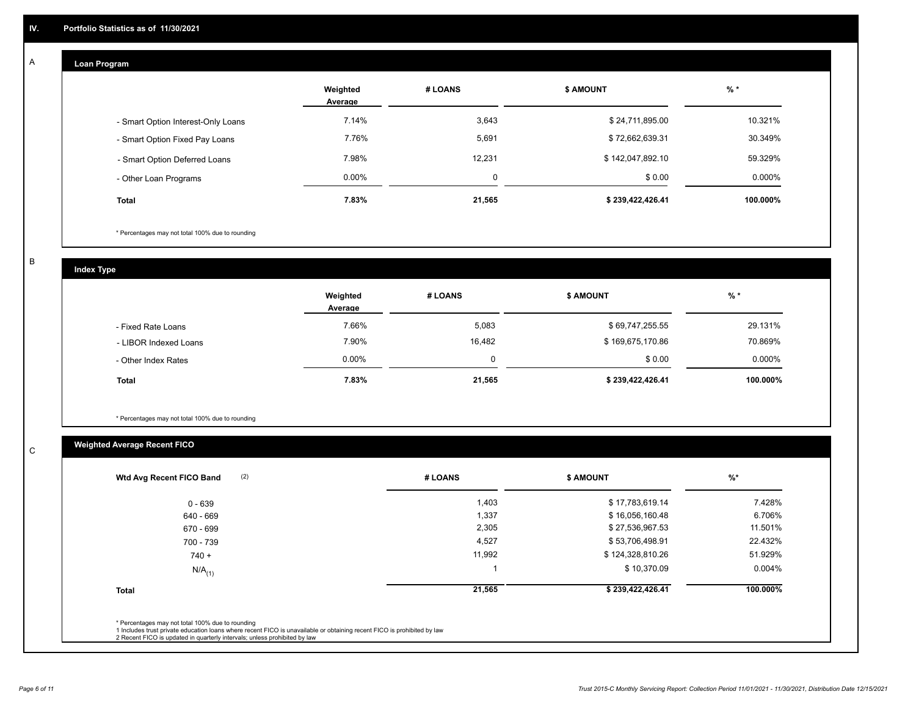#### **Loan Program**  A

|                                    | Weighted<br>Average | # LOANS | <b>\$ AMOUNT</b> | $%$ *     |
|------------------------------------|---------------------|---------|------------------|-----------|
| - Smart Option Interest-Only Loans | 7.14%               | 3,643   | \$24,711,895.00  | 10.321%   |
| - Smart Option Fixed Pay Loans     | 7.76%               | 5,691   | \$72,662,639.31  | 30.349%   |
| - Smart Option Deferred Loans      | 7.98%               | 12.231  | \$142,047,892.10 | 59.329%   |
| - Other Loan Programs              | $0.00\%$            | Ω       | \$0.00           | $0.000\%$ |
| <b>Total</b>                       | 7.83%               | 21,565  | \$239,422,426.41 | 100.000%  |

\* Percentages may not total 100% due to rounding

B

C

**Index Type**

|                       | Weighted<br>Average | # LOANS | <b>\$ AMOUNT</b> | % *      |
|-----------------------|---------------------|---------|------------------|----------|
| - Fixed Rate Loans    | 7.66%               | 5,083   | \$69,747,255.55  | 29.131%  |
| - LIBOR Indexed Loans | 7.90%               | 16,482  | \$169,675,170.86 | 70.869%  |
| - Other Index Rates   | $0.00\%$            | 0       | \$0.00           | 0.000%   |
| <b>Total</b>          | 7.83%               | 21,565  | \$239,422,426.41 | 100.000% |

\* Percentages may not total 100% due to rounding

# **Weighted Average Recent FICO**

| 1,403<br>1,337<br>2,305<br>4,527 | \$17,783,619.14<br>\$16,056,160.48<br>\$27,536,967.53<br>\$53,706,498.91 | 7.428%<br>6.706%<br>11.501%<br>22.432% |
|----------------------------------|--------------------------------------------------------------------------|----------------------------------------|
|                                  |                                                                          |                                        |
|                                  |                                                                          |                                        |
|                                  |                                                                          |                                        |
|                                  |                                                                          |                                        |
| 11,992                           | \$124,328,810.26                                                         | 51.929%                                |
|                                  | \$10,370.09                                                              | $0.004\%$                              |
| 21,565                           | \$239,422,426.41                                                         | 100.000%                               |
|                                  |                                                                          |                                        |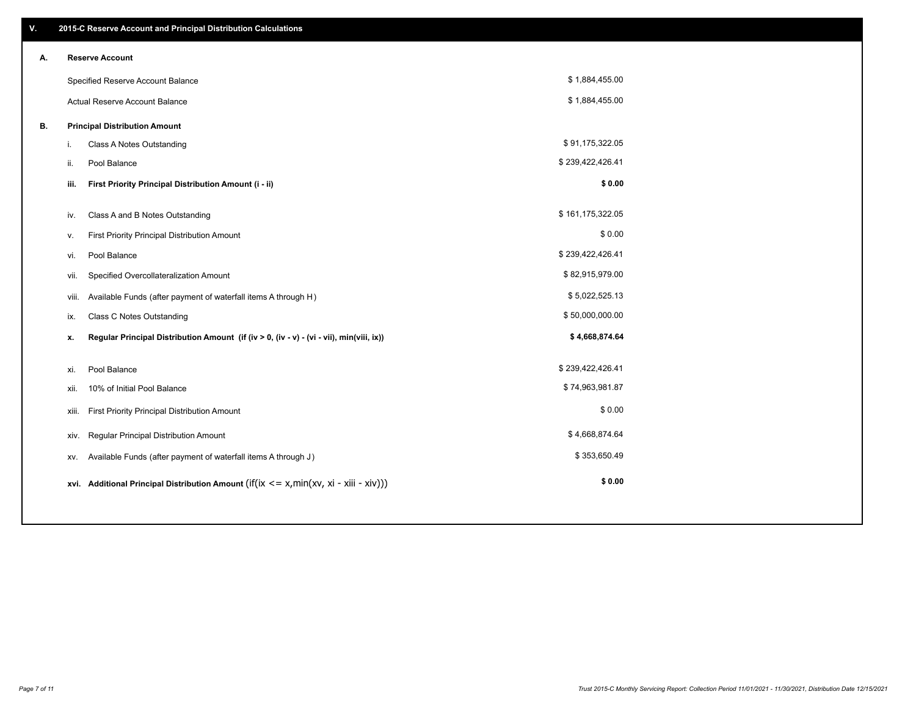| V. |       | 2015-C Reserve Account and Principal Distribution Calculations                             |                  |  |
|----|-------|--------------------------------------------------------------------------------------------|------------------|--|
| А. |       | <b>Reserve Account</b>                                                                     |                  |  |
|    |       | Specified Reserve Account Balance                                                          | \$1,884,455.00   |  |
|    |       | Actual Reserve Account Balance                                                             | \$1,884,455.00   |  |
| В. |       | <b>Principal Distribution Amount</b>                                                       |                  |  |
|    | i.    | Class A Notes Outstanding                                                                  | \$91,175,322.05  |  |
|    | ii.   | Pool Balance                                                                               | \$239,422,426.41 |  |
|    | iii.  | First Priority Principal Distribution Amount (i - ii)                                      | \$0.00           |  |
|    |       |                                                                                            | \$161,175,322.05 |  |
|    | iv.   | Class A and B Notes Outstanding                                                            | \$0.00           |  |
|    | ٧.    | First Priority Principal Distribution Amount                                               | \$239,422,426.41 |  |
|    | vi.   | Pool Balance                                                                               | \$82,915,979.00  |  |
|    | vii.  | Specified Overcollateralization Amount                                                     |                  |  |
|    | viii. | Available Funds (after payment of waterfall items A through H)                             | \$5,022,525.13   |  |
|    | ix.   | <b>Class C Notes Outstanding</b>                                                           | \$50,000,000.00  |  |
|    | х.    | Regular Principal Distribution Amount (if (iv > 0, (iv - v) - (vi - vii), min(viii, ix))   | \$4,668,874.64   |  |
|    | xi.   | Pool Balance                                                                               | \$239,422,426.41 |  |
|    | xii.  | 10% of Initial Pool Balance                                                                | \$74,963,981.87  |  |
|    |       | First Priority Principal Distribution Amount<br>xiii.                                      | \$0.00           |  |
|    |       | Regular Principal Distribution Amount<br>xiv.                                              | \$4,668,874.64   |  |
|    | XV.   | Available Funds (after payment of waterfall items A through J)                             | \$353,650.49     |  |
|    |       | xvi. Additional Principal Distribution Amount (if(ix $\lt$ = x, min(xv, xi - xiii - xiv))) | \$0.00           |  |
|    |       |                                                                                            |                  |  |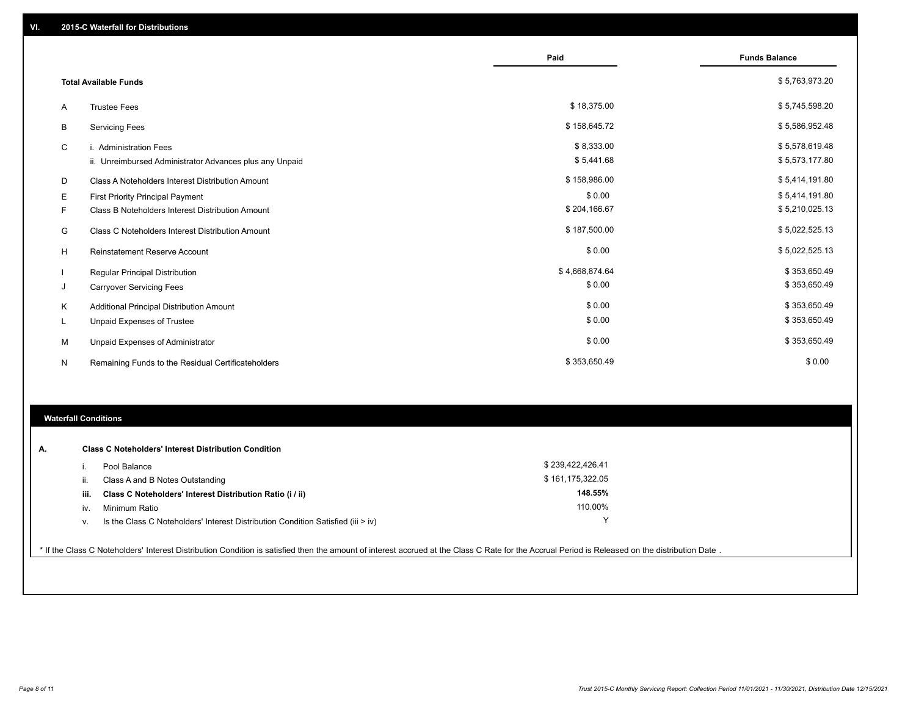|   |                                                         | Paid           | <b>Funds Balance</b> |
|---|---------------------------------------------------------|----------------|----------------------|
|   | <b>Total Available Funds</b>                            |                | \$5,763,973.20       |
| Α | <b>Trustee Fees</b>                                     | \$18,375.00    | \$5,745,598.20       |
| В | <b>Servicing Fees</b>                                   | \$158,645.72   | \$5,586,952.48       |
| C | i. Administration Fees                                  | \$8,333.00     | \$5,578,619.48       |
|   | ii. Unreimbursed Administrator Advances plus any Unpaid | \$5,441.68     | \$5,573,177.80       |
| D | Class A Noteholders Interest Distribution Amount        | \$158,986.00   | \$5,414,191.80       |
| Е | First Priority Principal Payment                        | \$0.00         | \$5,414,191.80       |
| F | Class B Noteholders Interest Distribution Amount        | \$204,166.67   | \$5,210,025.13       |
| G | <b>Class C Noteholders Interest Distribution Amount</b> | \$187,500.00   | \$5,022,525.13       |
| H | Reinstatement Reserve Account                           | \$0.00         | \$5,022,525.13       |
|   | Regular Principal Distribution                          | \$4,668,874.64 | \$353,650.49         |
| J | <b>Carryover Servicing Fees</b>                         | \$0.00         | \$353,650.49         |
| Κ | Additional Principal Distribution Amount                | \$0.00         | \$353,650.49         |
| L | Unpaid Expenses of Trustee                              | \$0.00         | \$353,650.49         |
| м | Unpaid Expenses of Administrator                        | \$0.00         | \$353,650.49         |
| N | Remaining Funds to the Residual Certificateholders      | \$353,650.49   | \$0.00               |

## **Waterfall Conditions**

| А. |      | <b>Class C Noteholders' Interest Distribution Condition</b>                      |                  |  |
|----|------|----------------------------------------------------------------------------------|------------------|--|
|    |      | Pool Balance                                                                     | \$239,422,426.41 |  |
|    | н.   | Class A and B Notes Outstanding                                                  | \$161,175,322.05 |  |
|    | iii. | Class C Noteholders' Interest Distribution Ratio (i / ii)                        | 148.55%          |  |
|    | IV.  | Minimum Ratio                                                                    | 110.00%          |  |
|    | ν.   | Is the Class C Noteholders' Interest Distribution Condition Satisfied (iii > iv) |                  |  |
|    |      |                                                                                  |                  |  |

\* If the Class C Noteholders' Interest Distribution Condition is satisfied then the amount of interest accrued at the Class C Rate for the Accrual Period is Released on the distribution Date .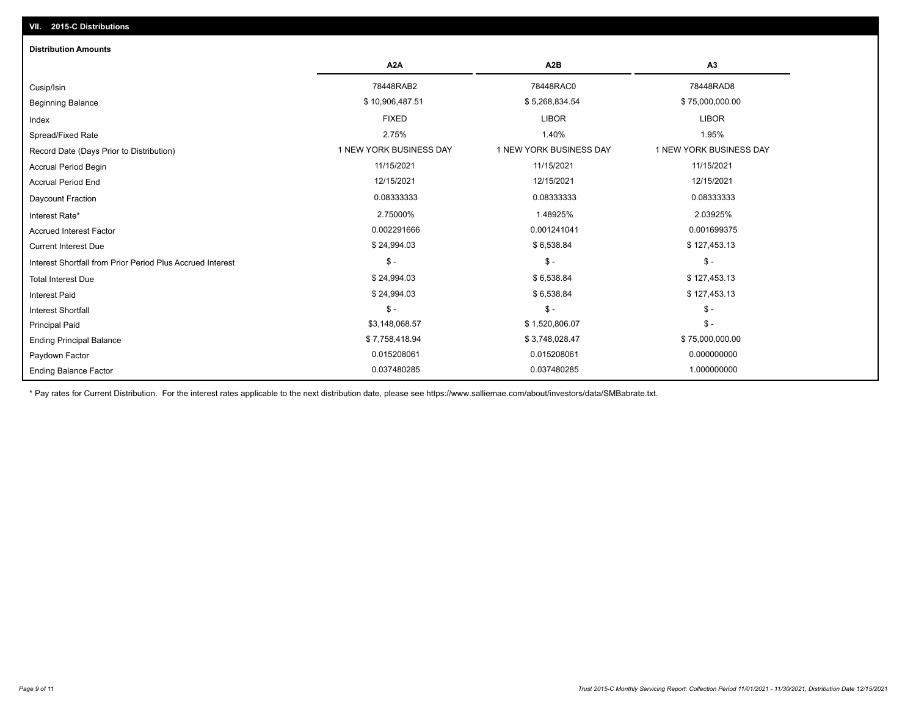| <b>Distribution Amounts</b>                                |                         |                         |                         |
|------------------------------------------------------------|-------------------------|-------------------------|-------------------------|
|                                                            | A <sub>2</sub> A        | A <sub>2</sub> B        | A <sub>3</sub>          |
| Cusip/Isin                                                 | 78448RAB2               | 78448RAC0               | 78448RAD8               |
| <b>Beginning Balance</b>                                   | \$10,906,487.51         | \$5,268,834.54          | \$75,000,000.00         |
| Index                                                      | <b>FIXED</b>            | <b>LIBOR</b>            | <b>LIBOR</b>            |
| Spread/Fixed Rate                                          | 2.75%                   | 1.40%                   | 1.95%                   |
| Record Date (Days Prior to Distribution)                   | 1 NEW YORK BUSINESS DAY | 1 NEW YORK BUSINESS DAY | 1 NEW YORK BUSINESS DAY |
| <b>Accrual Period Begin</b>                                | 11/15/2021              | 11/15/2021              | 11/15/2021              |
| <b>Accrual Period End</b>                                  | 12/15/2021              | 12/15/2021              | 12/15/2021              |
| <b>Daycount Fraction</b>                                   | 0.08333333              | 0.08333333              | 0.08333333              |
| Interest Rate*                                             | 2.75000%                | 1.48925%                | 2.03925%                |
| <b>Accrued Interest Factor</b>                             | 0.002291666             | 0.001241041             | 0.001699375             |
| <b>Current Interest Due</b>                                | \$24,994.03             | \$6,538.84              | \$127,453.13            |
| Interest Shortfall from Prior Period Plus Accrued Interest | $\mathsf{\$}$ -         | $\mathsf{\$}$ -         | $\mathsf{\$}$ -         |
| <b>Total Interest Due</b>                                  | \$24,994.03             | \$6,538.84              | \$127,453.13            |
| <b>Interest Paid</b>                                       | \$24,994.03             | \$6,538.84              | \$127,453.13            |
| <b>Interest Shortfall</b>                                  | $\mathsf{\$}$ -         | $$ -$                   | $\mathsf{\$}$ -         |
| <b>Principal Paid</b>                                      | \$3,148,068.57          | \$1,520,806.07          | $$ -$                   |
| <b>Ending Principal Balance</b>                            | \$7,758,418.94          | \$3,748,028.47          | \$75,000,000.00         |
| Paydown Factor                                             | 0.015208061             | 0.015208061             | 0.000000000             |
| <b>Ending Balance Factor</b>                               | 0.037480285             | 0.037480285             | 1.000000000             |

\* Pay rates for Current Distribution. For the interest rates applicable to the next distribution date, please see https://www.salliemae.com/about/investors/data/SMBabrate.txt.

**VII. 2015-C Distributions**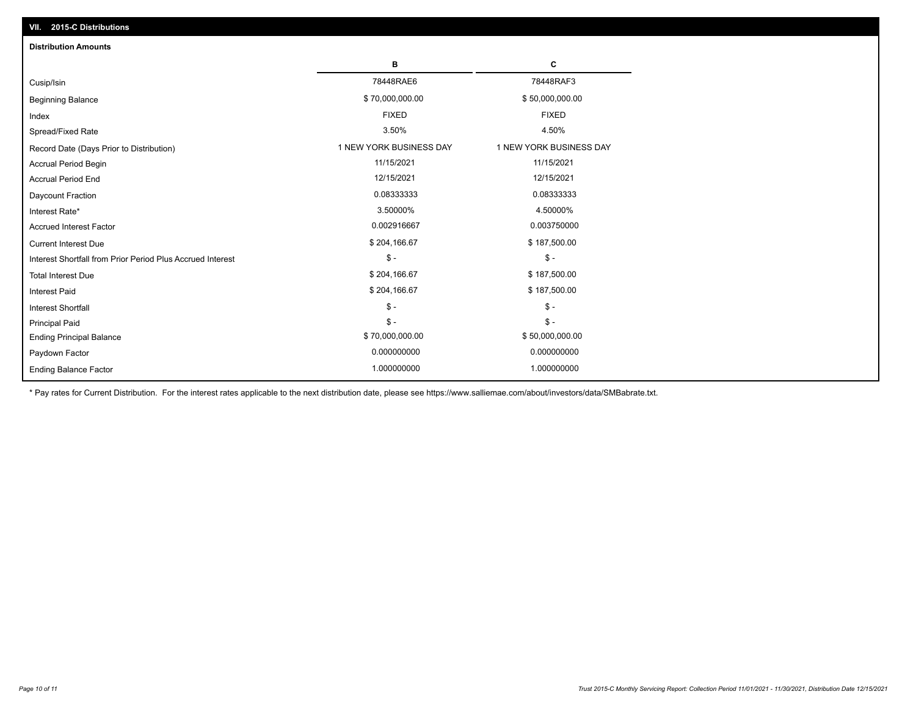| VII. 2015-C Distributions                                  |                         |                         |
|------------------------------------------------------------|-------------------------|-------------------------|
| <b>Distribution Amounts</b>                                |                         |                         |
|                                                            | в                       | С                       |
| Cusip/Isin                                                 | 78448RAE6               | 78448RAF3               |
| <b>Beginning Balance</b>                                   | \$70,000,000.00         | \$50,000,000.00         |
| Index                                                      | <b>FIXED</b>            | <b>FIXED</b>            |
| Spread/Fixed Rate                                          | 3.50%                   | 4.50%                   |
| Record Date (Days Prior to Distribution)                   | 1 NEW YORK BUSINESS DAY | 1 NEW YORK BUSINESS DAY |
| <b>Accrual Period Begin</b>                                | 11/15/2021              | 11/15/2021              |
| <b>Accrual Period End</b>                                  | 12/15/2021              | 12/15/2021              |
| Daycount Fraction                                          | 0.08333333              | 0.08333333              |
| Interest Rate*                                             | 3.50000%                | 4.50000%                |
| <b>Accrued Interest Factor</b>                             | 0.002916667             | 0.003750000             |
| <b>Current Interest Due</b>                                | \$204,166.67            | \$187,500.00            |
| Interest Shortfall from Prior Period Plus Accrued Interest | $\mathcal{S}$ -         | $\mathsf{\$}$ -         |
| <b>Total Interest Due</b>                                  | \$204,166.67            | \$187,500.00            |
| Interest Paid                                              | \$204,166.67            | \$187,500.00            |
| Interest Shortfall                                         | $$ -$                   | $\frac{1}{2}$           |
| <b>Principal Paid</b>                                      | $\mathsf{\$}$ -         | $$ -$                   |
| <b>Ending Principal Balance</b>                            | \$70,000,000.00         | \$50,000,000.00         |
| Paydown Factor                                             | 0.000000000             | 0.000000000             |
| <b>Ending Balance Factor</b>                               | 1.000000000             | 1.000000000             |

\* Pay rates for Current Distribution. For the interest rates applicable to the next distribution date, please see https://www.salliemae.com/about/investors/data/SMBabrate.txt.